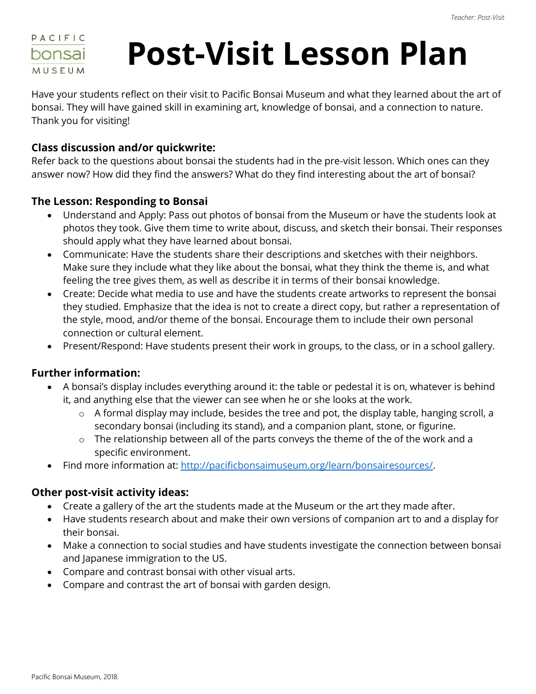

# **Post-Visit Lesson Plan**

Have your students reflect on their visit to Pacific Bonsai Museum and what they learned about the art of bonsai. They will have gained skill in examining art, knowledge of bonsai, and a connection to nature. Thank you for visiting!

### **Class discussion and/or quickwrite:**

Refer back to the questions about bonsai the students had in the pre-visit lesson. Which ones can they answer now? How did they find the answers? What do they find interesting about the art of bonsai?

#### **The Lesson: Responding to Bonsai**

- Understand and Apply: Pass out photos of bonsai from the Museum or have the students look at photos they took. Give them time to write about, discuss, and sketch their bonsai. Their responses should apply what they have learned about bonsai.
- Communicate: Have the students share their descriptions and sketches with their neighbors. Make sure they include what they like about the bonsai, what they think the theme is, and what feeling the tree gives them, as well as describe it in terms of their bonsai knowledge.
- Create: Decide what media to use and have the students create artworks to represent the bonsai they studied. Emphasize that the idea is not to create a direct copy, but rather a representation of the style, mood, and/or theme of the bonsai. Encourage them to include their own personal connection or cultural element.
- Present/Respond: Have students present their work in groups, to the class, or in a school gallery.

### **Further information:**

- A bonsai's display includes everything around it: the table or pedestal it is on, whatever is behind it, and anything else that the viewer can see when he or she looks at the work.
	- $\circ$  A formal display may include, besides the tree and pot, the display table, hanging scroll, a secondary bonsai (including its stand), and a companion plant, stone, or figurine.
	- $\circ$  The relationship between all of the parts conveys the theme of the of the work and a specific environment.
- Find more information at: [http://pacificbonsaimuseum.org/learn/bonsairesources/.](http://pacificbonsaimuseum.org/learn/bonsairesources/)

### **Other post-visit activity ideas:**

- Create a gallery of the art the students made at the Museum or the art they made after.
- Have students research about and make their own versions of companion art to and a display for their bonsai.
- Make a connection to social studies and have students investigate the connection between bonsai and Japanese immigration to the US.
- Compare and contrast bonsai with other visual arts.
- Compare and contrast the art of bonsai with garden design.